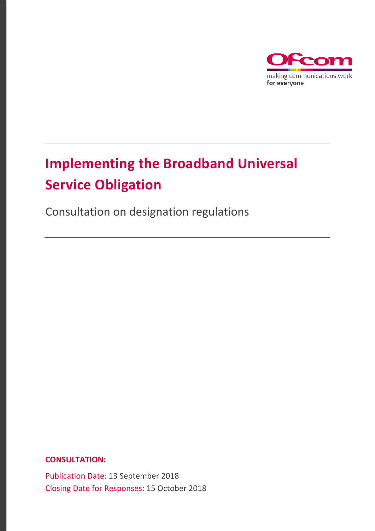

# **Implementing the Broadband Universal Service Obligation**

Consultation on designation regulations

**CONSULTATION:**

Publication Date: 13 September 2018 Closing Date for Responses: 15 October 2018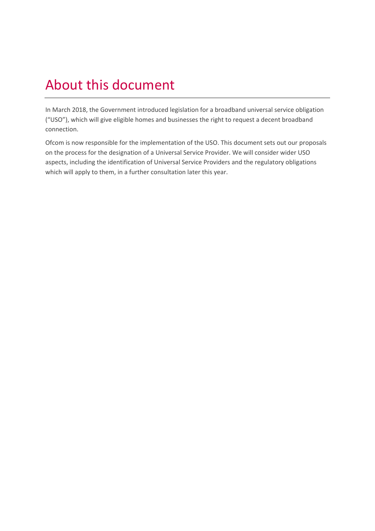# About this document

In March 2018, the Government introduced legislation for a broadband universal service obligation ("USO"), which will give eligible homes and businesses the right to request a decent broadband connection.

Ofcom is now responsible for the implementation of the USO. This document sets out our proposals on the process for the designation of a Universal Service Provider. We will consider wider USO aspects, including the identification of Universal Service Providers and the regulatory obligations which will apply to them, in a further consultation later this year.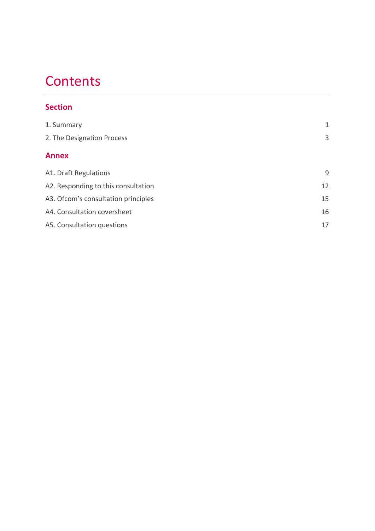# **Contents**

### **Section**

| 1. Summary                           | 1  |
|--------------------------------------|----|
| 2. The Designation Process           | 3  |
| <b>Annex</b>                         |    |
| A1. Draft Regulations                | 9  |
| A2. Responding to this consultation  | 12 |
| A3. Of com's consultation principles | 15 |
| A4. Consultation coversheet          | 16 |
| A5. Consultation questions           | 17 |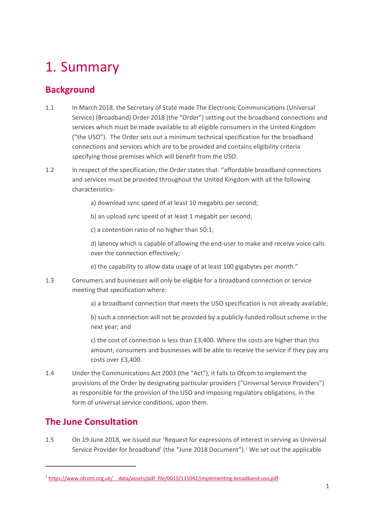# <span id="page-3-0"></span>1. Summary

## **Background**

- 1.1 In March 2018, the Secretary of State made The Electronic Communications (Universal Service) (Broadband) Order 2018 (the "Order") setting out the broadband connections and services which must be made available to all eligible consumers in the United Kingdom ("the USO"). The Order sets out a minimum technical specification for the broadband connections and services which are to be provided and contains eligibility criteria specifying those premises which will benefit from the USO.
- 1.2 In respect of the specification, the Order states that: "affordable broadband connections and services must be provided throughout the United Kingdom with all the following characteristics
	- a) download sync speed of at least 10 megabits per second;
	- b) an upload sync speed of at least 1 megabit per second;
	- c) a contention ratio of no higher than 50:1;

d) latency which is capable of allowing the end-user to make and receive voice calls over the connection effectively;

e) the capability to allow data usage of at least 100 gigabytes per month."

1.3 Consumers and businesses will only be eligible for a broadband connection or service meeting that specification where:

a) a broadband connection that meets the USO specification is not already available;

b) such a connection will not be provided by a publicly-funded rollout scheme in the next year; and

c) the cost of connection is less than £3,400. Where the costs are higher than this amount, consumers and businesses will be able to receive the service if they pay any costs over £3,400.

1.4 Under the Communications Act 2003 (the "Act"), it falls to Ofcom to implement the provisions of the Order by designating particular providers ("Universal Service Providers") as responsible for the provision of the USO and imposing regulatory obligations, in the form of universal service conditions, upon them.

## **The June Consultation**

**.** 

1.5 On 19 June 2018, we issued our 'Request for expressions of interest in serving as Universal Service Provider for broadband' (the "June 20[1](#page-3-1)8 Document").<sup>1</sup> We set out the applicable

<span id="page-3-1"></span><sup>1</sup> [https://www.ofcom.org.uk/\\_\\_data/assets/pdf\\_file/0013/115042/implementing-broadband-uso.pdf](https://www.ofcom.org.uk/__data/assets/pdf_file/0013/115042/implementing-broadband-uso.pdf)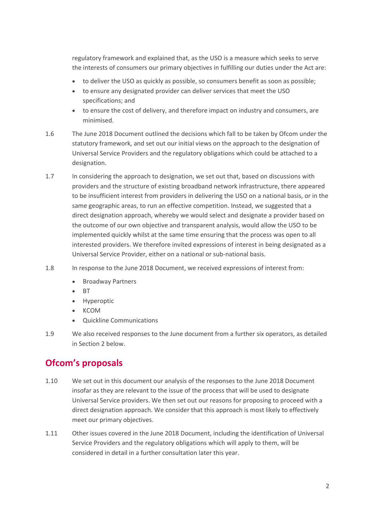regulatory framework and explained that, as the USO is a measure which seeks to serve the interests of consumers our primary objectives in fulfilling our duties under the Act are:

- to deliver the USO as quickly as possible, so consumers benefit as soon as possible;
- to ensure any designated provider can deliver services that meet the USO specifications; and
- to ensure the cost of delivery, and therefore impact on industry and consumers, are minimised.
- 1.6 The June 2018 Document outlined the decisions which fall to be taken by Ofcom under the statutory framework, and set out our initial views on the approach to the designation of Universal Service Providers and the regulatory obligations which could be attached to a designation.
- 1.7 In considering the approach to designation, we set out that, based on discussions with providers and the structure of existing broadband network infrastructure, there appeared to be insufficient interest from providers in delivering the USO on a national basis, or in the same geographic areas, to run an effective competition. Instead, we suggested that a direct designation approach, whereby we would select and designate a provider based on the outcome of our own objective and transparent analysis, would allow the USO to be implemented quickly whilst at the same time ensuring that the process was open to all interested providers. We therefore invited expressions of interest in being designated as a Universal Service Provider, either on a national or sub-national basis.
- 1.8 In response to the June 2018 Document, we received expressions of interest from:
	- Broadway Partners
	- BT
	- **Hyperoptic**
	- KCOM
	- Quickline Communications
- 1.9 We also received responses to the June document from a further six operators, as detailed in Section 2 below.

## **Ofcom's proposals**

- 1.10 We set out in this document our analysis of the responses to the June 2018 Document insofar as they are relevant to the issue of the process that will be used to designate Universal Service providers. We then set out our reasons for proposing to proceed with a direct designation approach. We consider that this approach is most likely to effectively meet our primary objectives.
- 1.11 Other issues covered in the June 2018 Document, including the identification of Universal Service Providers and the regulatory obligations which will apply to them, will be considered in detail in a further consultation later this year.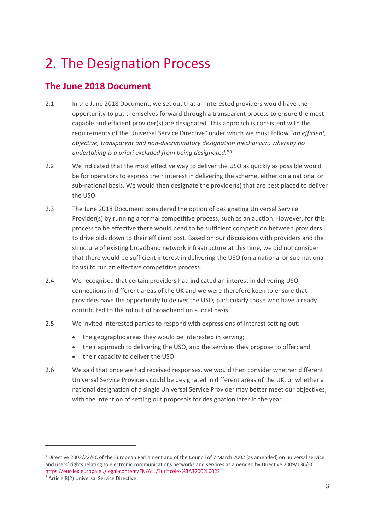# <span id="page-5-0"></span>2. The Designation Process

## **The June 2018 Document**

- 2.1 In the June 2018 Document, we set out that all interested providers would have the opportunity to put themselves forward through a transparent process to ensure the most capable and efficient provider(s) are designated. This approach is consistent with the requirements of the Universal Service Directive<sup>[2](#page-5-1)</sup> under which we must follow "*an efficient*, *objective, transparent and non-discriminatory designation mechanism, whereby no undertaking is a priori excluded from being designated.*"[3](#page-5-2)
- 2.2 We indicated that the most effective way to deliver the USO as quickly as possible would be for operators to express their interest in delivering the scheme, either on a national or sub-national basis. We would then designate the provider(s) that are best placed to deliver the USO.
- 2.3 The June 2018 Document considered the option of designating Universal Service Provider(s) by running a formal competitive process, such as an auction. However, for this process to be effective there would need to be sufficient competition between providers to drive bids down to their efficient cost. Based on our discussions with providers and the structure of existing broadband network infrastructure at this time, we did not consider that there would be sufficient interest in delivering the USO (on a national or sub-national basis) to run an effective competitive process.
- 2.4 We recognised that certain providers had indicated an interest in delivering USO connections in different areas of the UK and we were therefore keen to ensure that providers have the opportunity to deliver the USO, particularly those who have already contributed to the rollout of broadband on a local basis.
- 2.5 We invited interested parties to respond with expressions of interest setting out:
	- the geographic areas they would be interested in serving;
	- their approach to delivering the USO, and the services they propose to offer; and
	- their capacity to deliver the USO.
- 2.6 We said that once we had received responses, we would then consider whether different Universal Service Providers could be designated in different areas of the UK, or whether a national designation of a single Universal Service Provider may better meet our objectives, with the intention of setting out proposals for designation later in the year.

**.** 

<span id="page-5-1"></span><sup>&</sup>lt;sup>2</sup> Directive 2002/22/EC of the European Parliament and of the Council of 7 March 2002 (as amended) on universal service and users' rights relating to electronic communications networks and services as amended by Directive 2009/136/EC <https://eur-lex.europa.eu/legal-content/EN/ALL/?uri=celex%3A32002L0022>

<span id="page-5-2"></span><sup>3</sup> Article 8(2) Universal Service Directive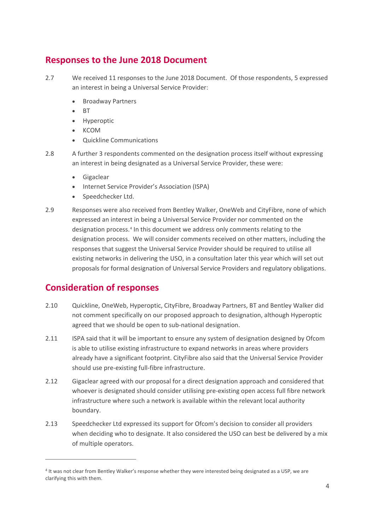## **Responses to the June 2018 Document**

- 2.7 We received 11 responses to the June 2018 Document. Of those respondents, 5 expressed an interest in being a Universal Service Provider:
	- Broadway Partners
	- BT
	- **Hyperoptic**
	- KCOM
	- Quickline Communications
- 2.8 A further 3 respondents commented on the designation process itself without expressing an interest in being designated as a Universal Service Provider, these were:
	- Gigaclear
	- Internet Service Provider's Association (ISPA)
	- Speedchecker Ltd.
- 2.9 Responses were also received from Bentley Walker, OneWeb and CityFibre, none of which expressed an interest in being a Universal Service Provider nor commented on the designation process.<sup>[4](#page-6-0)</sup> In this document we address only comments relating to the designation process. We will consider comments received on other matters, including the responses that suggest the Universal Service Provider should be required to utilise all existing networks in delivering the USO, in a consultation later this year which will set out proposals for formal designation of Universal Service Providers and regulatory obligations.

## **Consideration of responses**

 $\overline{a}$ 

- 2.10 Quickline, OneWeb, Hyperoptic, CityFibre, Broadway Partners, BT and Bentley Walker did not comment specifically on our proposed approach to designation, although Hyperoptic agreed that we should be open to sub-national designation.
- 2.11 ISPA said that it will be important to ensure any system of designation designed by Ofcom is able to utilise existing infrastructure to expand networks in areas where providers already have a significant footprint. CityFibre also said that the Universal Service Provider should use pre-existing full-fibre infrastructure.
- 2.12 Gigaclear agreed with our proposal for a direct designation approach and considered that whoever is designated should consider utilising pre-existing open access full fibre network infrastructure where such a network is available within the relevant local authority boundary.
- 2.13 Speedchecker Ltd expressed its support for Ofcom's decision to consider all providers when deciding who to designate. It also considered the USO can best be delivered by a mix of multiple operators.

<span id="page-6-0"></span><sup>4</sup> It was not clear from Bentley Walker's response whether they were interested being designated as a USP, we are clarifying this with them.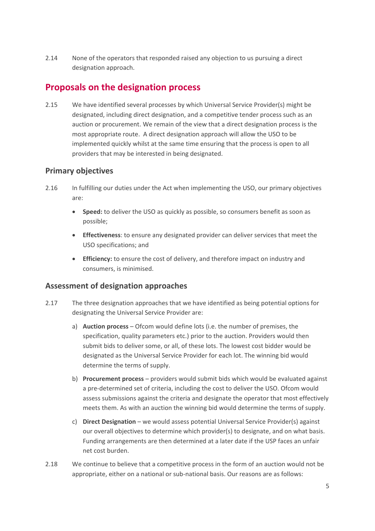2.14 None of the operators that responded raised any objection to us pursuing a direct designation approach.

## **Proposals on the designation process**

2.15 We have identified several processes by which Universal Service Provider(s) might be designated, including direct designation, and a competitive tender process such as an auction or procurement. We remain of the view that a direct designation process is the most appropriate route. A direct designation approach will allow the USO to be implemented quickly whilst at the same time ensuring that the process is open to all providers that may be interested in being designated.

### **Primary objectives**

- 2.16 In fulfilling our duties under the Act when implementing the USO, our primary objectives are:
	- **Speed:** to deliver the USO as quickly as possible, so consumers benefit as soon as possible;
	- **Effectiveness**: to ensure any designated provider can deliver services that meet the USO specifications; and
	- **Efficiency:** to ensure the cost of delivery, and therefore impact on industry and consumers, is minimised.

### **Assessment of designation approaches**

- 2.17 The three designation approaches that we have identified as being potential options for designating the Universal Service Provider are:
	- a) **Auction process** Ofcom would define lots (i.e. the number of premises, the specification, quality parameters etc.) prior to the auction. Providers would then submit bids to deliver some, or all, of these lots. The lowest cost bidder would be designated as the Universal Service Provider for each lot. The winning bid would determine the terms of supply.
	- b) **Procurement process** providers would submit bids which would be evaluated against a pre-determined set of criteria, including the cost to deliver the USO. Ofcom would assess submissions against the criteria and designate the operator that most effectively meets them. As with an auction the winning bid would determine the terms of supply.
	- c) **Direct Designation** we would assess potential Universal Service Provider(s) against our overall objectives to determine which provider(s) to designate, and on what basis. Funding arrangements are then determined at a later date if the USP faces an unfair net cost burden.
- 2.18 We continue to believe that a competitive process in the form of an auction would not be appropriate, either on a national or sub-national basis. Our reasons are as follows: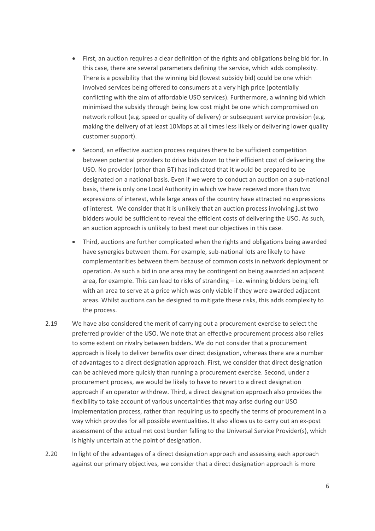- First, an auction requires a clear definition of the rights and obligations being bid for. In this case, there are several parameters defining the service, which adds complexity. There is a possibility that the winning bid (lowest subsidy bid) could be one which involved services being offered to consumers at a very high price (potentially conflicting with the aim of affordable USO services). Furthermore, a winning bid which minimised the subsidy through being low cost might be one which compromised on network rollout (e.g. speed or quality of delivery) or subsequent service provision (e.g. making the delivery of at least 10Mbps at all times less likely or delivering lower quality customer support).
- Second, an effective auction process requires there to be sufficient competition between potential providers to drive bids down to their efficient cost of delivering the USO. No provider (other than BT) has indicated that it would be prepared to be designated on a national basis. Even if we were to conduct an auction on a sub-national basis, there is only one Local Authority in which we have received more than two expressions of interest, while large areas of the country have attracted no expressions of interest. We consider that it is unlikely that an auction process involving just two bidders would be sufficient to reveal the efficient costs of delivering the USO. As such, an auction approach is unlikely to best meet our objectives in this case.
- Third, auctions are further complicated when the rights and obligations being awarded have synergies between them. For example, sub-national lots are likely to have complementarities between them because of common costs in network deployment or operation. As such a bid in one area may be contingent on being awarded an adjacent area, for example. This can lead to risks of stranding – i.e. winning bidders being left with an area to serve at a price which was only viable if they were awarded adjacent areas. Whilst auctions can be designed to mitigate these risks, this adds complexity to the process.
- 2.19 We have also considered the merit of carrying out a procurement exercise to select the preferred provider of the USO. We note that an effective procurement process also relies to some extent on rivalry between bidders. We do not consider that a procurement approach is likely to deliver benefits over direct designation, whereas there are a number of advantages to a direct designation approach. First, we consider that direct designation can be achieved more quickly than running a procurement exercise. Second, under a procurement process, we would be likely to have to revert to a direct designation approach if an operator withdrew. Third, a direct designation approach also provides the flexibility to take account of various uncertainties that may arise during our USO implementation process, rather than requiring us to specify the terms of procurement in a way which provides for all possible eventualities. It also allows us to carry out an ex-post assessment of the actual net cost burden falling to the Universal Service Provider(s), which is highly uncertain at the point of designation.
- 2.20 In light of the advantages of a direct designation approach and assessing each approach against our primary objectives, we consider that a direct designation approach is more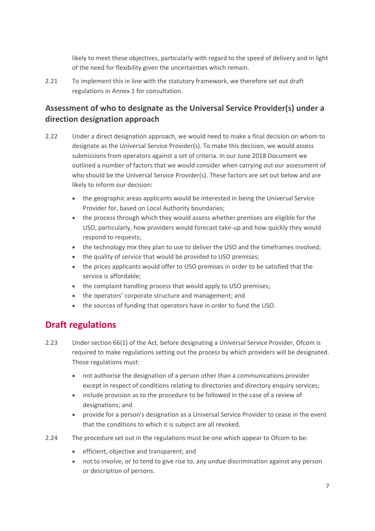likely to meet these objectives, particularly with regard to the speed of delivery and in light of the need for flexibility given the uncertainties which remain.

2.21 To implement this in line with the statutory framework, we therefore set out draft regulations in Annex 1 for consultation.

### **Assessment of who to designate as the Universal Service Provider(s) under a direction designation approach**

- 2.22 Under a direct designation approach, we would need to make a final decision on whom to designate as the Universal Service Provider(s). To make this decision, we would assess submissions from operators against a set of criteria. In our June 2018 Document we outlined a number of factors that we would consider when carrying out our assessment of who should be the Universal Service Provider(s). These factors are set out below and are likely to inform our decision:
	- the geographic areas applicants would be interested in being the Universal Service Provider for, based on Local Authority boundaries;
	- the process through which they would assess whether premises are eligible for the USO, particularly, how providers would forecast take-up and how quickly they would respond to requests;
	- the technology mix they plan to use to deliver the USO and the timeframes involved;
	- the quality of service that would be provided to USO premises;
	- the prices applicants would offer to USO premises in order to be satisfied that the service is affordable;
	- the complaint handling process that would apply to USO premises;
	- the operators' corporate structure and management; and
	- the sources of funding that operators have in order to fund the USO.

## **Draft regulations**

- 2.23 Under section 66(1) of the Act, before designating a Universal Service Provider, Ofcom is required to make regulations setting out the process by which providers will be designated. Those regulations must:
	- not authorise the designation of a person other than a communications provider except in respect of conditions relating to directories and directory enquiry services;
	- include provision as to the procedure to be followed in the case of a review of designations; and
	- provide for a person's designation as a Universal Service Provider to cease in the event that the conditions to which it is subject are all revoked.
- 2.24 The procedure set out in the regulations must be one which appear to Ofcom to be:
	- efficient, objective and transparent; and
	- not to involve, or to tend to give rise to, any undue discrimination against any person or description of persons.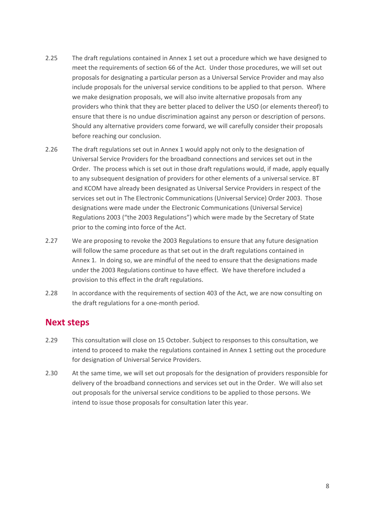- 2.25 The draft regulations contained in Annex 1 set out a procedure which we have designed to meet the requirements of section 66 of the Act. Under those procedures, we will set out proposals for designating a particular person as a Universal Service Provider and may also include proposals for the universal service conditions to be applied to that person. Where we make designation proposals, we will also invite alternative proposals from any providers who think that they are better placed to deliver the USO (or elements thereof) to ensure that there is no undue discrimination against any person or description of persons. Should any alternative providers come forward, we will carefully consider their proposals before reaching our conclusion.
- 2.26 The draft regulations set out in Annex 1 would apply not only to the designation of Universal Service Providers for the broadband connections and services set out in the Order. The process which is set out in those draft regulations would, if made, apply equally to any subsequent designation of providers for other elements of a universal service. BT and KCOM have already been designated as Universal Service Providers in respect of the services set out in The Electronic Communications (Universal Service) Order 2003. Those designations were made under the Electronic Communications (Universal Service) Regulations 2003 ("the 2003 Regulations") which were made by the Secretary of State prior to the coming into force of the Act.
- 2.27 We are proposing to revoke the 2003 Regulations to ensure that any future designation will follow the same procedure as that set out in the draft regulations contained in Annex 1. In doing so, we are mindful of the need to ensure that the designations made under the 2003 Regulations continue to have effect. We have therefore included a provision to this effect in the draft regulations.
- 2.28 In accordance with the requirements of section 403 of the Act, we are now consulting on the draft regulations for a one-month period.

### **Next steps**

- 2.29 This consultation will close on 15 October. Subject to responses to this consultation, we intend to proceed to make the regulations contained in Annex 1 setting out the procedure for designation of Universal Service Providers.
- 2.30 At the same time, we will set out proposals for the designation of providers responsible for delivery of the broadband connections and services set out in the Order. We will also set out proposals for the universal service conditions to be applied to those persons. We intend to issue those proposals for consultation later this year.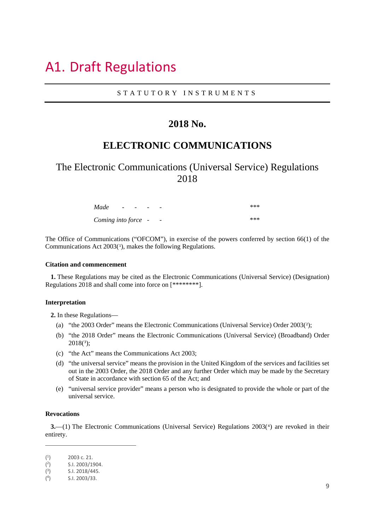# <span id="page-11-0"></span>A1. Draft Regulations

#### STATUTORY INSTRUMENTS

### **2018 No.**

## **ELECTRONIC COMMUNICATIONS**

## The Electronic Communications (Universal Service) Regulations 2018

| Made                | $ -$ | $\overline{\phantom{a}}$ |  | *** |
|---------------------|------|--------------------------|--|-----|
| Coming into force - |      |                          |  | *** |

The Office of Communications ("OFCOM"), in exercise of the powers conferred by section 66(1) of the Communications Act  $2003<sup>(1)</sup>$  $2003<sup>(1)</sup>$  $2003<sup>(1)</sup>$ , makes the following Regulations.

#### **Citation and commencement**

**1.** These Regulations may be cited as the Electronic Communications (Universal Service) (Designation) Regulations 2018 and shall come into force on [\*\*\*\*\*\*\*\*].

#### **Interpretation**

**2.** In these Regulations—

- (a) "the 2003 Order" means the Electronic Communications (Universal Service) Order 2003([2](#page-11-2));
- (b) "the 2018 Order" means the Electronic Communications (Universal Service) (Broadband) Order  $2018(3)$  $2018(3)$  $2018(3)$ ;
- (c) "the Act" means the Communications Act 2003;
- (d) "the universal service" means the provision in the United Kingdom of the services and facilities set out in the 2003 Order, the 2018 Order and any further Order which may be made by the Secretary of State in accordance with section 65 of the Act; and
- (e) "universal service provider" means a person who is designated to provide the whole or part of the universal service.

#### **Revocations**

**.** 

**3.**—(1) The Electronic Communications (Universal Service) Regulations 2003([4](#page-11-4)) are revoked in their entirety.

<span id="page-11-1"></span> $(1)$ 2003 c. 21.

<span id="page-11-2"></span> $(2)$ 2) S.I. 2003/1904.

<span id="page-11-3"></span> $\binom{3}{ }$ 3) S.I. 2018/445.

<span id="page-11-4"></span> $(4)$ 4) S.I. 2003/33.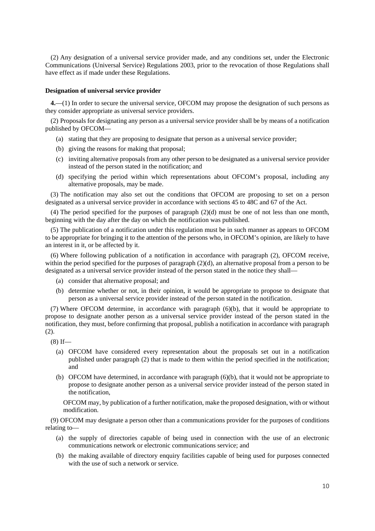(2) Any designation of a universal service provider made, and any conditions set, under the Electronic Communications (Universal Service) Regulations 2003, prior to the revocation of those Regulations shall have effect as if made under these Regulations.

#### **Designation of universal service provider**

**4.**—(1) In order to secure the universal service, OFCOM may propose the designation of such persons as they consider appropriate as universal service providers.

(2) Proposals for designating any person as a universal service provider shall be by means of a notification published by OFCOM—

- (a) stating that they are proposing to designate that person as a universal service provider;
- (b) giving the reasons for making that proposal;
- (c) inviting alternative proposals from any other person to be designated as a universal service provider instead of the person stated in the notification; and
- (d) specifying the period within which representations about OFCOM's proposal, including any alternative proposals, may be made.

(3) The notification may also set out the conditions that OFCOM are proposing to set on a person designated as a universal service provider in accordance with sections 45 to 48C and 67 of the Act.

(4) The period specified for the purposes of paragraph (2)(d) must be one of not less than one month, beginning with the day after the day on which the notification was published.

(5) The publication of a notification under this regulation must be in such manner as appears to OFCOM to be appropriate for bringing it to the attention of the persons who, in OFCOM's opinion, are likely to have an interest in it, or be affected by it.

(6) Where following publication of a notification in accordance with paragraph (2), OFCOM receive, within the period specified for the purposes of paragraph (2)(d), an alternative proposal from a person to be designated as a universal service provider instead of the person stated in the notice they shall—

- (a) consider that alternative proposal; and
- (b) determine whether or not, in their opinion, it would be appropriate to propose to designate that person as a universal service provider instead of the person stated in the notification.

(7) Where OFCOM determine, in accordance with paragraph (6)(b), that it would be appropriate to propose to designate another person as a universal service provider instead of the person stated in the notification, they must, before confirming that proposal, publish a notification in accordance with paragraph (2).

 $(8)$  If—

- (a) OFCOM have considered every representation about the proposals set out in a notification published under paragraph (2) that is made to them within the period specified in the notification; and
- (b) OFCOM have determined, in accordance with paragraph (6)(b), that it would not be appropriate to propose to designate another person as a universal service provider instead of the person stated in the notification,

OFCOM may, by publication of a further notification, make the proposed designation, with or without modification.

(9) OFCOM may designate a person other than a communications provider for the purposes of conditions relating to—

- (a) the supply of directories capable of being used in connection with the use of an electronic communications network or electronic communications service; and
- (b) the making available of directory enquiry facilities capable of being used for purposes connected with the use of such a network or service.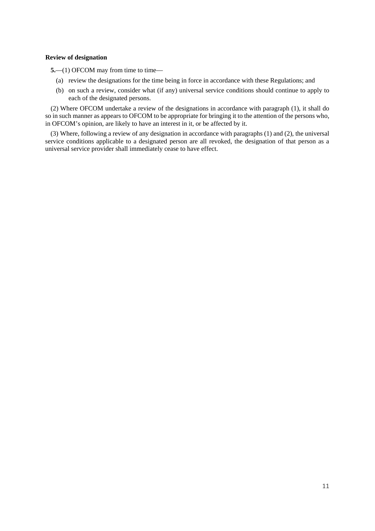#### **Review of designation**

**5.**—(1) OFCOM may from time to time—

- (a) review the designations for the time being in force in accordance with these Regulations; and
- (b) on such a review, consider what (if any) universal service conditions should continue to apply to each of the designated persons.

(2) Where OFCOM undertake a review of the designations in accordance with paragraph (1), it shall do so in such manner as appears to OFCOM to be appropriate for bringing it to the attention of the persons who, in OFCOM's opinion, are likely to have an interest in it, or be affected by it.

(3) Where, following a review of any designation in accordance with paragraphs (1) and (2), the universal service conditions applicable to a designated person are all revoked, the designation of that person as a universal service provider shall immediately cease to have effect.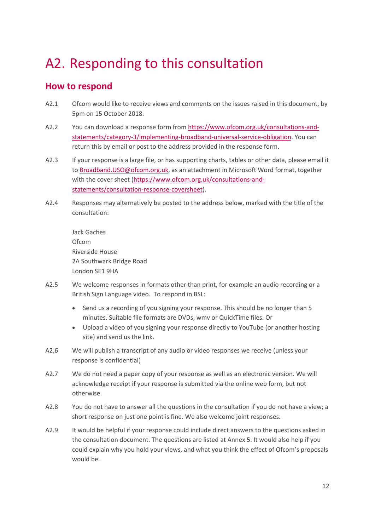# <span id="page-14-0"></span>A2. Responding to this consultation

## **How to respond**

- A2.1 Ofcom would like to receive views and comments on the issues raised in this document, by 5pm on 15 October 2018.
- A2.2 You can download a response form from [https://www.ofcom.org.uk/consultations-and](https://www.ofcom.org.uk/consultations-and-statements/category-3/implementing-broadband-universal-service-obligation)[statements/category-3/implementing-broadband-universal-service-obligation.](https://www.ofcom.org.uk/consultations-and-statements/category-3/implementing-broadband-universal-service-obligation) You can return this by email or post to the address provided in the response form.
- A2.3 If your response is a large file, or has supporting charts, tables or other data, please email it to [Broadband.USO@ofcom.org.uk,](mailto:Broadband.USO@ofcom.org.uk) as an attachment in Microsoft Word format, together with the cover sheet [\(https://www.ofcom.org.uk/consultations-and](https://www.ofcom.org.uk/consultations-and-statements/consultation-response-coversheet)[statements/consultation-response-coversheet\)](https://www.ofcom.org.uk/consultations-and-statements/consultation-response-coversheet).
- A2.4 Responses may alternatively be posted to the address below, marked with the title of the consultation:

Jack Gaches Ofcom Riverside House 2A Southwark Bridge Road London SE1 9HA

- A2.5 We welcome responses in formats other than print, for example an audio recording or a British Sign Language video. To respond in BSL:
	- Send us a recording of you signing your response. This should be no longer than 5 minutes. Suitable file formats are DVDs, wmv or QuickTime files. Or
	- Upload a video of you signing your response directly to YouTube (or another hosting site) and send us the link.
- A2.6 We will publish a transcript of any audio or video responses we receive (unless your response is confidential)
- A2.7 We do not need a paper copy of your response as well as an electronic version. We will acknowledge receipt if your response is submitted via the online web form, but not otherwise.
- A2.8 You do not have to answer all the questions in the consultation if you do not have a view; a short response on just one point is fine. We also welcome joint responses.
- A2.9 It would be helpful if your response could include direct answers to the questions asked in the consultation document. The questions are listed at Annex 5. It would also help if you could explain why you hold your views, and what you think the effect of Ofcom's proposals would be.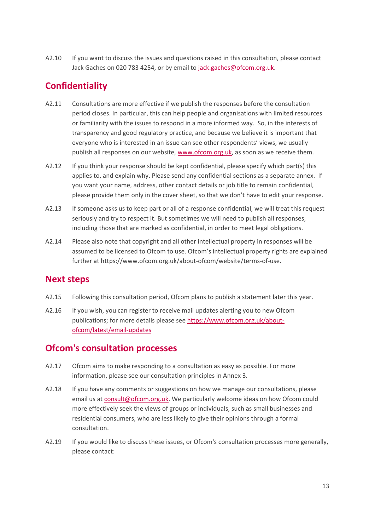A2.10 If you want to discuss the issues and questions raised in this consultation, please contact Jack Gaches on 020 783 4254, or by email to [jack.gaches@ofcom.org.uk.](mailto:jack.gaches@ofcom.org.uk)

## **Confidentiality**

- A2.11 Consultations are more effective if we publish the responses before the consultation period closes. In particular, this can help people and organisations with limited resources or familiarity with the issues to respond in a more informed way. So, in the interests of transparency and good regulatory practice, and because we believe it is important that everyone who is interested in an issue can see other respondents' views, we usually publish all responses on our website, [www.ofcom.org.uk,](http://www.ofcom.org.uk/) as soon as we receive them.
- A2.12 If you think your response should be kept confidential, please specify which part(s) this applies to, and explain why. Please send any confidential sections as a separate annex. If you want your name, address, other contact details or job title to remain confidential, please provide them only in the cover sheet, so that we don't have to edit your response.
- A2.13 If someone asks us to keep part or all of a response confidential, we will treat this request seriously and try to respect it. But sometimes we will need to publish all responses, including those that are marked as confidential, in order to meet legal obligations.
- A2.14 Please also note that copyright and all other intellectual property in responses will be assumed to be licensed to Ofcom to use. Ofcom's intellectual property rights are explained further at https://www.ofcom.org.uk/about-ofcom/website/terms-of-use.

## **Next steps**

- A2.15 Following this consultation period, Ofcom plans to publish a statement later this year.
- A2.16 If you wish, you can register to receive mail updates alerting you to new Ofcom publications; for more details please see [https://www.ofcom.org.uk/about](https://www.ofcom.org.uk/about-ofcom/latest/email-updates)[ofcom/latest/email-updates](https://www.ofcom.org.uk/about-ofcom/latest/email-updates)

## **Ofcom's consultation processes**

- A2.17 Ofcom aims to make responding to a consultation as easy as possible. For more information, please see our consultation principles in Annex 3.
- A2.18 If you have any comments or suggestions on how we manage our consultations, please email us a[t consult@ofcom.org.uk.](mailto:consult@ofcom.org.uk) We particularly welcome ideas on how Ofcom could more effectively seek the views of groups or individuals, such as small businesses and residential consumers, who are less likely to give their opinions through a formal consultation.
- A2.19 If you would like to discuss these issues, or Ofcom's consultation processes more generally, please contact: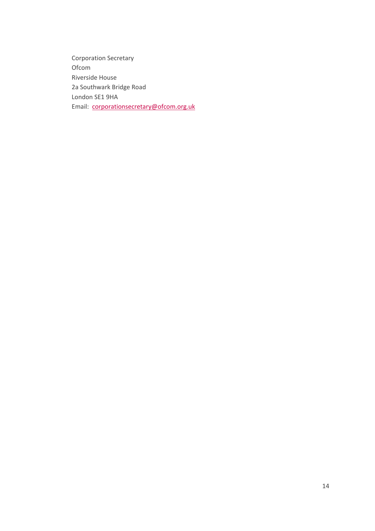Corporation Secretary Ofcom Riverside House 2a Southwark Bridge Road London SE1 9HA Email: [corporationsecretary@ofcom.org.uk](mailto:corporationsecretary@ofcom.org.uk)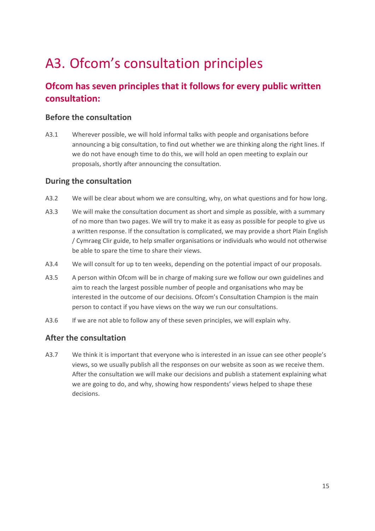# <span id="page-17-0"></span>A3. Ofcom's consultation principles

## **Ofcom has seven principles that it follows for every public written consultation:**

### **Before the consultation**

A3.1 Wherever possible, we will hold informal talks with people and organisations before announcing a big consultation, to find out whether we are thinking along the right lines. If we do not have enough time to do this, we will hold an open meeting to explain our proposals, shortly after announcing the consultation.

### **During the consultation**

- A3.2 We will be clear about whom we are consulting, why, on what questions and for how long.
- A3.3 We will make the consultation document as short and simple as possible, with a summary of no more than two pages. We will try to make it as easy as possible for people to give us a written response. If the consultation is complicated, we may provide a short Plain English / Cymraeg Clir guide, to help smaller organisations or individuals who would not otherwise be able to spare the time to share their views.
- A3.4 We will consult for up to ten weeks, depending on the potential impact of our proposals.
- A3.5 A person within Ofcom will be in charge of making sure we follow our own guidelines and aim to reach the largest possible number of people and organisations who may be interested in the outcome of our decisions. Ofcom's Consultation Champion is the main person to contact if you have views on the way we run our consultations.
- A3.6 If we are not able to follow any of these seven principles, we will explain why.

### **After the consultation**

A3.7 We think it is important that everyone who is interested in an issue can see other people's views, so we usually publish all the responses on our website as soon as we receive them. After the consultation we will make our decisions and publish a statement explaining what we are going to do, and why, showing how respondents' views helped to shape these decisions.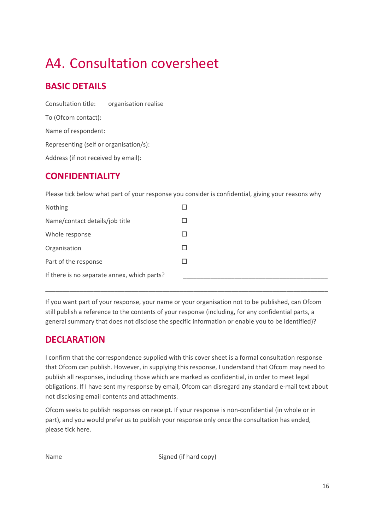# <span id="page-18-0"></span>A4. Consultation coversheet

## **BASIC DETAILS**

| Consultation title:                    | organisation realise |  |  |  |  |
|----------------------------------------|----------------------|--|--|--|--|
| To (Ofcom contact):                    |                      |  |  |  |  |
| Name of respondent:                    |                      |  |  |  |  |
| Representing (self or organisation/s): |                      |  |  |  |  |
| Address (if not received by email):    |                      |  |  |  |  |

## **CONFIDENTIALITY**

Please tick below what part of your response you consider is confidential, giving your reasons why

| Nothing                                     |  |
|---------------------------------------------|--|
| Name/contact details/job title              |  |
| Whole response                              |  |
| Organisation                                |  |
| Part of the response                        |  |
| If there is no separate annex, which parts? |  |

If you want part of your response, your name or your organisation not to be published, can Ofcom still publish a reference to the contents of your response (including, for any confidential parts, a general summary that does not disclose the specific information or enable you to be identified)?

\_\_\_\_\_\_\_\_\_\_\_\_\_\_\_\_\_\_\_\_\_\_\_\_\_\_\_\_\_\_\_\_\_\_\_\_\_\_\_\_\_\_\_\_\_\_\_\_\_\_\_\_\_\_\_\_\_\_\_\_\_\_\_\_\_\_\_\_\_\_\_\_\_\_\_\_\_\_\_\_\_\_

## **DECLARATION**

I confirm that the correspondence supplied with this cover sheet is a formal consultation response that Ofcom can publish. However, in supplying this response, I understand that Ofcom may need to publish all responses, including those which are marked as confidential, in order to meet legal obligations. If I have sent my response by email, Ofcom can disregard any standard e-mail text about not disclosing email contents and attachments.

Ofcom seeks to publish responses on receipt. If your response is non-confidential (in whole or in part), and you would prefer us to publish your response only once the consultation has ended, please tick here.

Name Signed (if hard copy)